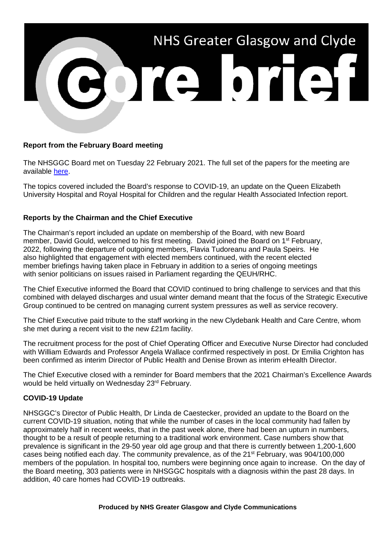

## **Report from the February Board meeting**

The NHSGGC Board met on Tuesday 22 February 2021. The full set of the papers for the meeting are available [here.](https://www.nhsggc.scot/about-us/nhs-board/board-meetings-papers-reports/minutes-agendas/)

The topics covered included the Board's response to COVID-19, an update on the Queen Elizabeth University Hospital and Royal Hospital for Children and the regular Health Associated Infection report.

## **Reports by the Chairman and the Chief Executive**

The Chairman's report included an update on membership of the Board, with new Board member, David Gould, welcomed to his first meeting. David joined the Board on 1<sup>st</sup> February, 2022, following the departure of outgoing members, Flavia Tudoreanu and Paula Speirs. He also highlighted that engagement with elected members continued, with the recent elected member briefings having taken place in February in addition to a series of ongoing meetings with senior politicians on issues raised in Parliament regarding the QEUH/RHC.

The Chief Executive informed the Board that COVID continued to bring challenge to services and that this combined with delayed discharges and usual winter demand meant that the focus of the Strategic Executive Group continued to be centred on managing current system pressures as well as service recovery.

The Chief Executive paid tribute to the staff working in the new Clydebank Health and Care Centre, whom she met during a recent visit to the new £21m facility.

The recruitment process for the post of Chief Operating Officer and Executive Nurse Director had concluded with William Edwards and Professor Angela Wallace confirmed respectively in post. Dr Emilia Crighton has been confirmed as interim Director of Public Health and Denise Brown as interim eHealth Director.

The Chief Executive closed with a reminder for Board members that the 2021 Chairman's Excellence Awards would be held virtually on Wednesday 23rd February.

## **COVID-19 Update**

NHSGGC's Director of Public Health, Dr Linda de Caestecker, provided an update to the Board on the current COVID-19 situation, noting that while the number of cases in the local community had fallen by approximately half in recent weeks, that in the past week alone, there had been an upturn in numbers, thought to be a result of people returning to a traditional work environment. Case numbers show that prevalence is significant in the 29-50 year old age group and that there is currently between 1,200-1,600 cases being notified each day. The community prevalence, as of the 21<sup>st</sup> February, was 904/100,000 members of the population. In hospital too, numbers were beginning once again to increase. On the day of the Board meeting, 303 patients were in NHSGGC hospitals with a diagnosis within the past 28 days. In addition, 40 care homes had COVID-19 outbreaks.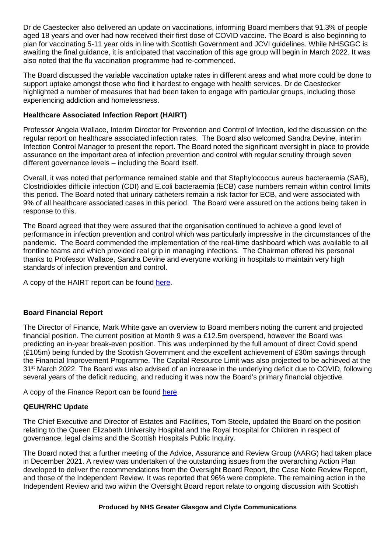Dr de Caestecker also delivered an update on vaccinations, informing Board members that 91.3% of people aged 18 years and over had now received their first dose of COVID vaccine. The Board is also beginning to plan for vaccinating 5-11 year olds in line with Scottish Government and JCVI guidelines. While NHSGGC is awaiting the final guidance, it is anticipated that vaccination of this age group will begin in March 2022. It was also noted that the flu vaccination programme had re-commenced.

The Board discussed the variable vaccination uptake rates in different areas and what more could be done to support uptake amongst those who find it hardest to engage with health services. Dr de Caestecker highlighted a number of measures that had been taken to engage with particular groups, including those experiencing addiction and homelessness.

## **Healthcare Associated Infection Report (HAIRT)**

Professor Angela Wallace, Interim Director for Prevention and Control of Infection, led the discussion on the regular report on healthcare associated infection rates. The Board also welcomed Sandra Devine, interim Infection Control Manager to present the report. The Board noted the significant oversight in place to provide assurance on the important area of infection prevention and control with regular scrutiny through seven different governance levels – including the Board itself.

Overall, it was noted that performance remained stable and that Staphylococcus aureus bacteraemia (SAB), Clostridioides difficile infection (CDI) and E.coli bacteraemia (ECB) case numbers remain within control limits this period. The Board noted that urinary catheters remain a risk factor for ECB, and were associated with 9% of all healthcare associated cases in this period. The Board were assured on the actions being taken in response to this.

The Board agreed that they were assured that the organisation continued to achieve a good level of performance in infection prevention and control which was particularly impressive in the circumstances of the pandemic. The Board commended the implementation of the real-time dashboard which was available to all frontline teams and which provided real grip in managing infections. The Chairman offered his personal thanks to Professor Wallace, Sandra Devine and everyone working in hospitals to maintain very high standards of infection prevention and control.

A copy of the HAIRT report can be found [here.](https://www.nhsggc.scot/download/board-paper-healthcare-associated-infection-reporting-template-22-february-2022/)

# **Board Financial Report**

The Director of Finance, Mark White gave an overview to Board members noting the current and projected financial position. The current position at Month 9 was a £12.5m overspend, however the Board was predicting an in-year break-even position. This was underpinned by the full amount of direct Covid spend (£105m) being funded by the Scottish Government and the excellent achievement of £30m savings through the Financial Improvement Programme. The Capital Resource Limit was also projected to be achieved at the 31<sup>st</sup> March 2022. The Board was also advised of an increase in the underlying deficit due to COVID, following several years of the deficit reducing, and reducing it was now the Board's primary financial objective.

A copy of the Finance Report can be found [here.](https://www.nhsggc.scot/download/finance-report-22-february-2022/)

# **QEUH/RHC Update**

The Chief Executive and Director of Estates and Facilities, Tom Steele, updated the Board on the position relating to the Queen Elizabeth University Hospital and the Royal Hospital for Children in respect of governance, legal claims and the Scottish Hospitals Public Inquiry.

The Board noted that a further meeting of the Advice, Assurance and Review Group (AARG) had taken place in December 2021. A review was undertaken of the outstanding issues from the overarching Action Plan developed to deliver the recommendations from the Oversight Board Report, the Case Note Review Report, and those of the Independent Review. It was reported that 96% were complete. The remaining action in the Independent Review and two within the Oversight Board report relate to ongoing discussion with Scottish

#### **Produced by NHS Greater Glasgow and Clyde Communications**